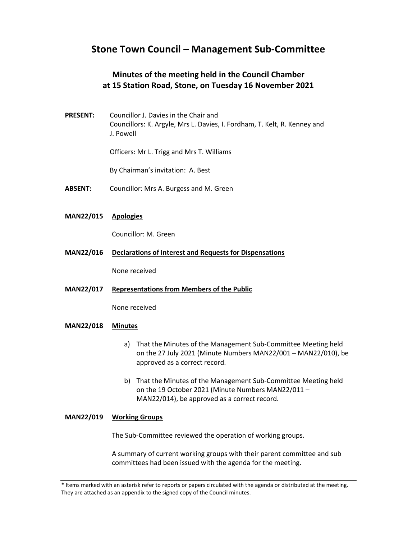# **Stone Town Council – Management Sub-Committee**

## **Minutes of the meeting held in the Council Chamber at 15 Station Road, Stone, on Tuesday 16 November 2021**

**PRESENT:** Councillor J. Davies in the Chair and Councillors: K. Argyle, Mrs L. Davies, I. Fordham, T. Kelt, R. Kenney and J. Powell

Officers: Mr L. Trigg and Mrs T. Williams

By Chairman's invitation: A. Best

**ABSENT:** Councillor: Mrs A. Burgess and M. Green

### **MAN22/015 Apologies**

Councillor: M. Green

**MAN22/016 Declarations of Interest and Requests for Dispensations**

None received

**MAN22/017 Representations from Members of the Public**

None received

#### **MAN22/018 Minutes**

- a) That the Minutes of the Management Sub-Committee Meeting held on the 27 July 2021 (Minute Numbers MAN22/001 – MAN22/010), be approved as a correct record.
- b) That the Minutes of the Management Sub-Committee Meeting held on the 19 October 2021 (Minute Numbers MAN22/011 – MAN22/014), be approved as a correct record.

#### **MAN22/019 Working Groups**

The Sub-Committee reviewed the operation of working groups.

A summary of current working groups with their parent committee and sub committees had been issued with the agenda for the meeting.

<sup>\*</sup> Items marked with an asterisk refer to reports or papers circulated with the agenda or distributed at the meeting. They are attached as an appendix to the signed copy of the Council minutes.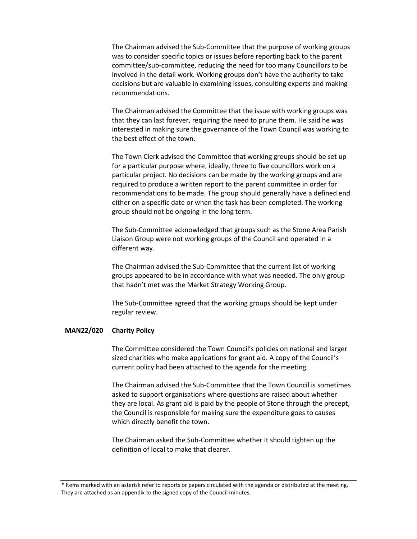The Chairman advised the Sub-Committee that the purpose of working groups was to consider specific topics or issues before reporting back to the parent committee/sub-committee, reducing the need for too many Councillors to be involved in the detail work. Working groups don't have the authority to take decisions but are valuable in examining issues, consulting experts and making recommendations.

The Chairman advised the Committee that the issue with working groups was that they can last forever, requiring the need to prune them. He said he was interested in making sure the governance of the Town Council was working to the best effect of the town.

The Town Clerk advised the Committee that working groups should be set up for a particular purpose where, ideally, three to five councillors work on a particular project. No decisions can be made by the working groups and are required to produce a written report to the parent committee in order for recommendations to be made. The group should generally have a defined end either on a specific date or when the task has been completed. The working group should not be ongoing in the long term.

The Sub-Committee acknowledged that groups such as the Stone Area Parish Liaison Group were not working groups of the Council and operated in a different way.

The Chairman advised the Sub-Committee that the current list of working groups appeared to be in accordance with what was needed. The only group that hadn't met was the Market Strategy Working Group.

The Sub-Committee agreed that the working groups should be kept under regular review.

#### **MAN22/020 Charity Policy**

The Committee considered the Town Council's policies on national and larger sized charities who make applications for grant aid. A copy of the Council's current policy had been attached to the agenda for the meeting.

The Chairman advised the Sub-Committee that the Town Council is sometimes asked to support organisations where questions are raised about whether they are local. As grant aid is paid by the people of Stone through the precept, the Council is responsible for making sure the expenditure goes to causes which directly benefit the town.

The Chairman asked the Sub-Committee whether it should tighten up the definition of local to make that clearer.

<sup>\*</sup> Items marked with an asterisk refer to reports or papers circulated with the agenda or distributed at the meeting. They are attached as an appendix to the signed copy of the Council minutes.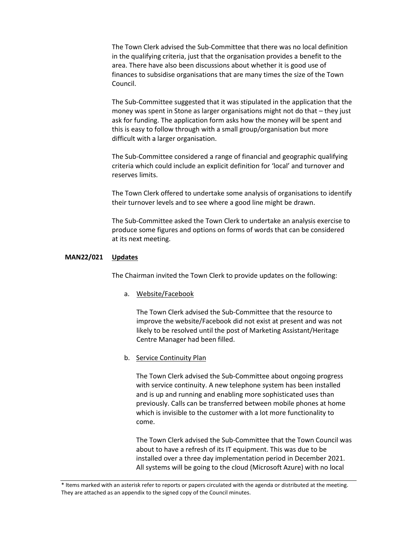The Town Clerk advised the Sub-Committee that there was no local definition in the qualifying criteria, just that the organisation provides a benefit to the area. There have also been discussions about whether it is good use of finances to subsidise organisations that are many times the size of the Town Council.

The Sub-Committee suggested that it was stipulated in the application that the money was spent in Stone as larger organisations might not do that – they just ask for funding. The application form asks how the money will be spent and this is easy to follow through with a small group/organisation but more difficult with a larger organisation.

The Sub-Committee considered a range of financial and geographic qualifying criteria which could include an explicit definition for 'local' and turnover and reserves limits.

The Town Clerk offered to undertake some analysis of organisations to identify their turnover levels and to see where a good line might be drawn.

The Sub-Committee asked the Town Clerk to undertake an analysis exercise to produce some figures and options on forms of words that can be considered at its next meeting.

#### **MAN22/021 Updates**

The Chairman invited the Town Clerk to provide updates on the following:

a. Website/Facebook

The Town Clerk advised the Sub-Committee that the resource to improve the website/Facebook did not exist at present and was not likely to be resolved until the post of Marketing Assistant/Heritage Centre Manager had been filled.

#### b. Service Continuity Plan

The Town Clerk advised the Sub-Committee about ongoing progress with service continuity. A new telephone system has been installed and is up and running and enabling more sophisticated uses than previously. Calls can be transferred between mobile phones at home which is invisible to the customer with a lot more functionality to come.

The Town Clerk advised the Sub-Committee that the Town Council was about to have a refresh of its IT equipment. This was due to be installed over a three day implementation period in December 2021. All systems will be going to the cloud (Microsoft Azure) with no local

<sup>\*</sup> Items marked with an asterisk refer to reports or papers circulated with the agenda or distributed at the meeting. They are attached as an appendix to the signed copy of the Council minutes.